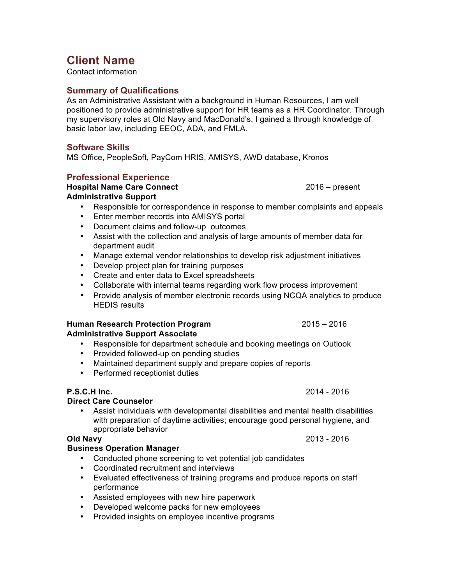# **Client Name**

Contact information

#### **Summary of Qualifications**

As an Administrative Assistant with a background in Human Resources, I am well positioned to provide administrative support for HR teams as a HR Coordinator. Through my supervisory roles at Old Navy and MacDonald's, I gained a through knowledge of basic labor law, including EEOC, ADA, and FMLA.

### **Software Skills**

MS Office, PeopleSoft, PayCom HRIS, AMISYS, AWD database, Kronos

#### **Professional Experience**

## **Hospital Name Care Connect** 2016 – present

#### **Administrative Support**

- Responsible for correspondence in response to member complaints and appeals
- Enter member records into AMISYS portal
- Document claims and follow-up outcomes
- Assist with the collection and analysis of large amounts of member data for department audit
- Manage external vendor relationships to develop risk adjustment initiatives
- Develop project plan for training purposes
- Create and enter data to Excel spreadsheets
- Collaborate with internal teams regarding work flow process improvement
- Provide analysis of member electronic records using NCQA analytics to produce HEDIS results

#### **Human Research Protection Program** 2015 – 2016 **Administrative Support Associate**

- Responsible for department schedule and booking meetings on Outlook
- Provided followed-up on pending studies
- Maintained department supply and prepare copies of reports
- Performed receptionist duties

### **P.S.C.H Inc.** 2014 - 2016

### **Direct Care Counselor**

• Assist individuals with developmental disabilities and mental health disabilities with preparation of daytime activities; encourage good personal hygiene, and appropriate behavior

## **Old Navy** 2013 - 2016

### **Business Operation Manager**

- Conducted phone screening to vet potential job candidates
- Coordinated recruitment and interviews
- Evaluated effectiveness of training programs and produce reports on staff performance
- Assisted employees with new hire paperwork
- Developed welcome packs for new employees
- Provided insights on employee incentive programs